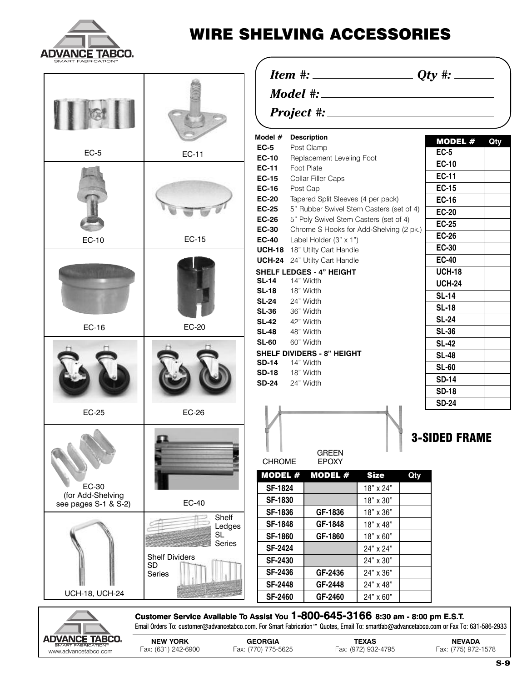

www.advancetabco.com

## **WIRE SHELVING ACCESSORIES**

| SMART FABRICATION™         |                                                                                                                                        |                                                                                                                    |                                         |                                     |              |                                      |     |
|----------------------------|----------------------------------------------------------------------------------------------------------------------------------------|--------------------------------------------------------------------------------------------------------------------|-----------------------------------------|-------------------------------------|--------------|--------------------------------------|-----|
|                            |                                                                                                                                        |                                                                                                                    |                                         |                                     |              |                                      |     |
|                            |                                                                                                                                        |                                                                                                                    |                                         |                                     |              |                                      |     |
|                            |                                                                                                                                        |                                                                                                                    |                                         |                                     |              |                                      |     |
|                            |                                                                                                                                        | Model #                                                                                                            | <b>Description</b>                      |                                     |              | MODEL #                              | Qty |
| $EC-5$                     | <b>EC-11</b>                                                                                                                           | $EC-5$<br>Post Clamp                                                                                               |                                         |                                     | <b>EC-5</b>  |                                      |     |
|                            |                                                                                                                                        | <b>EC-10</b>                                                                                                       | Replacement Leveling Foot<br>Foot Plate |                                     | <b>EC-10</b> |                                      |     |
|                            |                                                                                                                                        | <b>EC-11</b><br><b>EC-15</b>                                                                                       | Collar Filler Caps                      |                                     | <b>EC-11</b> |                                      |     |
|                            |                                                                                                                                        | <b>EC-16</b><br>Post Cap                                                                                           |                                         |                                     | <b>EC-15</b> |                                      |     |
|                            |                                                                                                                                        | <b>EC-20</b><br>Tapered Split Sleeves (4 per pack)                                                                 |                                         |                                     | <b>EC-16</b> |                                      |     |
|                            |                                                                                                                                        | <b>EC-25</b><br>5" Rubber Swivel Stem Casters (set of 4)<br><b>EC-26</b><br>5" Poly Swivel Stem Casters (set of 4) |                                         |                                     | <b>EC-20</b> |                                      |     |
|                            |                                                                                                                                        |                                                                                                                    |                                         |                                     | <b>EC-25</b> |                                      |     |
|                            |                                                                                                                                        | <b>EC-30</b><br>Chrome S Hooks for Add-Shelving (2 pk.)                                                            |                                         |                                     | <b>EC-26</b> |                                      |     |
| EC-10                      | EC-15                                                                                                                                  | <b>EC-40</b>                                                                                                       | Label Holder (3" x 1")                  |                                     |              |                                      |     |
|                            |                                                                                                                                        | <b>UCH-18</b> 18" Utilty Cart Handle                                                                               |                                         |                                     | <b>EC-30</b> |                                      |     |
|                            |                                                                                                                                        | <b>UCH-24</b> 24" Utilty Cart Handle                                                                               |                                         |                                     | <b>EC-40</b> |                                      |     |
|                            |                                                                                                                                        |                                                                                                                    | <b>SHELF LEDGES - 4" HEIGHT</b>         |                                     |              | <b>UCH-18</b>                        |     |
|                            |                                                                                                                                        | $SL-14$<br>14" Width<br><b>SL-18</b><br>18" Width                                                                  |                                         |                                     |              | <b>UCH-24</b>                        |     |
|                            |                                                                                                                                        | <b>SL-24</b><br>24" Width                                                                                          |                                         |                                     | <b>SL-14</b> |                                      |     |
|                            |                                                                                                                                        | <b>SL-36</b>                                                                                                       | 36" Width                               |                                     | <b>SL-18</b> |                                      |     |
|                            |                                                                                                                                        | <b>SL-42</b><br>42" Width                                                                                          |                                         |                                     | <b>SL-24</b> |                                      |     |
| EC-16                      | <b>EC-20</b>                                                                                                                           | <b>SL-48</b><br>48" Width                                                                                          |                                         |                                     | <b>SL-36</b> |                                      |     |
|                            |                                                                                                                                        | <b>SL-60</b><br>60" Width                                                                                          |                                         |                                     | <b>SL-42</b> |                                      |     |
|                            |                                                                                                                                        | <b>SHELF DIVIDERS - 8" HEIGHT</b>                                                                                  |                                         |                                     | <b>SL-48</b> |                                      |     |
|                            |                                                                                                                                        | <b>SD-14</b><br>14" Width                                                                                          |                                         |                                     | <b>SL-60</b> |                                      |     |
|                            |                                                                                                                                        | <b>SD-18</b><br>18" Width                                                                                          |                                         |                                     | <b>SD-14</b> |                                      |     |
|                            |                                                                                                                                        | <b>SD-24</b><br>24" Width                                                                                          |                                         |                                     | <b>SD-18</b> |                                      |     |
|                            |                                                                                                                                        |                                                                                                                    |                                         |                                     | <b>SD-24</b> |                                      |     |
| <b>EC-25</b>               | <b>EC-26</b>                                                                                                                           |                                                                                                                    |                                         |                                     |              |                                      |     |
|                            |                                                                                                                                        |                                                                                                                    |                                         |                                     |              |                                      |     |
|                            |                                                                                                                                        |                                                                                                                    |                                         |                                     |              | <b>3-SIDED FRAME</b>                 |     |
|                            |                                                                                                                                        |                                                                                                                    |                                         |                                     |              |                                      |     |
|                            |                                                                                                                                        |                                                                                                                    | <b>GREEN</b>                            |                                     |              |                                      |     |
|                            |                                                                                                                                        | <b>CHROME</b>                                                                                                      | <b>EPOXY</b>                            |                                     |              |                                      |     |
|                            |                                                                                                                                        | <b>MODEL#</b>                                                                                                      | MODEL #                                 | <b>Size</b>                         | Qty          |                                      |     |
| EC-30<br>(for Add-Shelving |                                                                                                                                        | <b>SF-1824</b>                                                                                                     |                                         | 18" x 24"                           |              |                                      |     |
| see pages S-1 & S-2)       | <b>EC-40</b>                                                                                                                           | <b>SF-1830</b>                                                                                                     |                                         | 18" x 30"                           |              |                                      |     |
|                            | Shelf                                                                                                                                  | <b>SF-1836</b>                                                                                                     | GF-1836                                 | 18" x 36"                           |              |                                      |     |
|                            | Ledges<br><b>SL</b>                                                                                                                    | <b>SF-1848</b>                                                                                                     | GF-1848                                 | 18" x 48"                           |              |                                      |     |
|                            | Series                                                                                                                                 | <b>SF-1860</b>                                                                                                     | GF-1860                                 | 18" x 60"                           |              |                                      |     |
|                            | <b>Shelf Dividers</b>                                                                                                                  | <b>SF-2424</b>                                                                                                     |                                         | 24" x 24"                           |              |                                      |     |
|                            | <b>SD</b>                                                                                                                              | <b>SF-2430</b>                                                                                                     |                                         | 24" x 30"                           |              |                                      |     |
|                            | Series                                                                                                                                 | <b>SF-2436</b>                                                                                                     | GF-2436                                 | 24" x 36"                           |              |                                      |     |
|                            |                                                                                                                                        | <b>SF-2448</b>                                                                                                     | GF-2448                                 | 24" x 48"                           |              |                                      |     |
| <b>UCH-18, UCH-24</b>      |                                                                                                                                        | <b>SF-2460</b>                                                                                                     | GF-2460                                 | 24" x 60"                           |              |                                      |     |
|                            | Customer Service Available To Assist You 1-800-645-3166 8:30 am - 8:00 pm E.S.T.                                                       |                                                                                                                    |                                         |                                     |              |                                      |     |
|                            | Email Orders To: customer@advancetabco.com. For Smart Fabrication™ Quotes, Email To: smartfab@advancetabco.com or Fax To: 631-586-2933 |                                                                                                                    |                                         |                                     |              |                                      |     |
| CE TABCO.                  |                                                                                                                                        |                                                                                                                    |                                         |                                     |              |                                      |     |
| www.advancetabco.com       | <b>NEW YORK</b><br>Fax: (631) 242-6900                                                                                                 | <b>GEORGIA</b><br>Fax: (770) 775-5625                                                                              |                                         | <b>TEXAS</b><br>Fax: (972) 932-4795 |              | <b>NEVADA</b><br>Fax: (775) 972-1578 |     |